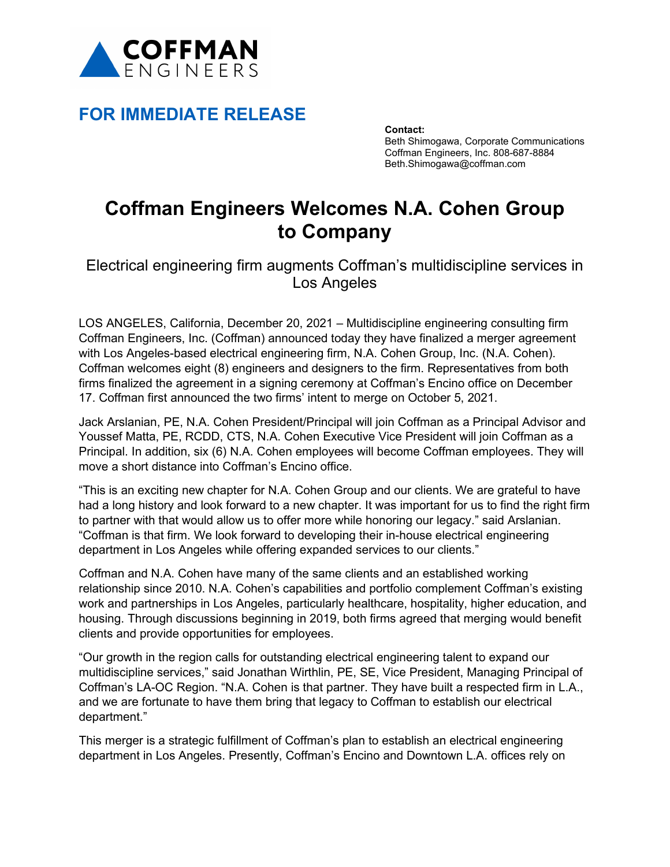

# **FOR IMMEDIATE RELEASE**

**Contact:** Beth Shimogawa, Corporate Communications Coffman Engineers, Inc. 808-687-8884 Beth.Shimogawa@coffman.com

# **Coffman Engineers Welcomes N.A. Cohen Group to Company**

Electrical engineering firm augments Coffman's multidiscipline services in Los Angeles

LOS ANGELES, California, December 20, 2021 – Multidiscipline engineering consulting firm Coffman Engineers, Inc. (Coffman) announced today they have finalized a merger agreement with Los Angeles-based electrical engineering firm, N.A. Cohen Group, Inc. (N.A. Cohen). Coffman welcomes eight (8) engineers and designers to the firm. Representatives from both firms finalized the agreement in a signing ceremony at Coffman's Encino office on December 17. Coffman first announced the two firms' intent to merge on October 5, 2021.

Jack Arslanian, PE, N.A. Cohen President/Principal will join Coffman as a Principal Advisor and Youssef Matta, PE, RCDD, CTS, N.A. Cohen Executive Vice President will join Coffman as a Principal. In addition, six (6) N.A. Cohen employees will become Coffman employees. They will move a short distance into Coffman's Encino office.

"This is an exciting new chapter for N.A. Cohen Group and our clients. We are grateful to have had a long history and look forward to a new chapter. It was important for us to find the right firm to partner with that would allow us to offer more while honoring our legacy." said Arslanian. "Coffman is that firm. We look forward to developing their in-house electrical engineering department in Los Angeles while offering expanded services to our clients."

Coffman and N.A. Cohen have many of the same clients and an established working relationship since 2010. N.A. Cohen's capabilities and portfolio complement Coffman's existing work and partnerships in Los Angeles, particularly healthcare, hospitality, higher education, and housing. Through discussions beginning in 2019, both firms agreed that merging would benefit clients and provide opportunities for employees.

"Our growth in the region calls for outstanding electrical engineering talent to expand our multidiscipline services," said Jonathan Wirthlin, PE, SE, Vice President, Managing Principal of Coffman's LA-OC Region. "N.A. Cohen is that partner. They have built a respected firm in L.A., and we are fortunate to have them bring that legacy to Coffman to establish our electrical department."

This merger is a strategic fulfillment of Coffman's plan to establish an electrical engineering department in Los Angeles. Presently, Coffman's Encino and Downtown L.A. offices rely on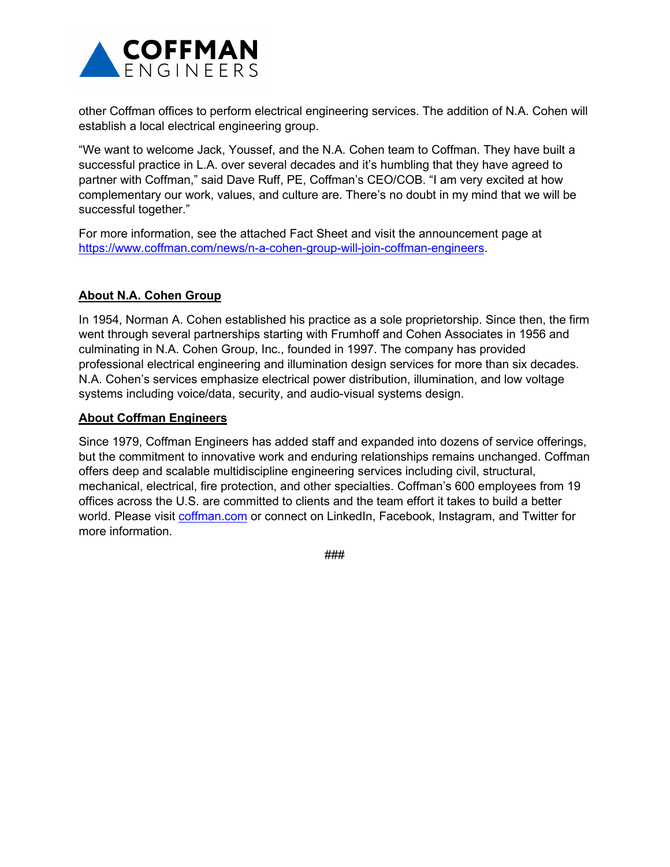

other Coffman offices to perform electrical engineering services. The addition of N.A. Cohen will establish a local electrical engineering group.

"We want to welcome Jack, Youssef, and the N.A. Cohen team to Coffman. They have built a successful practice in L.A. over several decades and it's humbling that they have agreed to partner with Coffman," said Dave Ruff, PE, Coffman's CEO/COB. "I am very excited at how complementary our work, values, and culture are. There's no doubt in my mind that we will be successful together."

For more information, see the attached Fact Sheet and visit the announcement page at [https://www.coffman.com/news/n-a-cohen-group-will-join-coffman-engineers.](https://www.coffman.com/news/n-a-cohen-group-will-join-coffman-engineers)

## **About N.A. Cohen Group**

In 1954, Norman A. Cohen established his practice as a sole proprietorship. Since then, the firm went through several partnerships starting with Frumhoff and Cohen Associates in 1956 and culminating in N.A. Cohen Group, Inc., founded in 1997. The company has provided professional electrical engineering and illumination design services for more than six decades. N.A. Cohen's services emphasize electrical power distribution, illumination, and low voltage systems including voice/data, security, and audio-visual systems design.

### **About Coffman Engineers**

Since 1979, Coffman Engineers has added staff and expanded into dozens of service offerings, but the commitment to innovative work and enduring relationships remains unchanged. Coffman offers deep and scalable multidiscipline engineering services including civil, structural, mechanical, electrical, fire protection, and other specialties. Coffman's 600 employees from 19 offices across the U.S. are committed to clients and the team effort it takes to build a better world. Please visit [coffman.com](http://www.coffman.com/) or connect on LinkedIn, Facebook, Instagram, and Twitter for more information.

###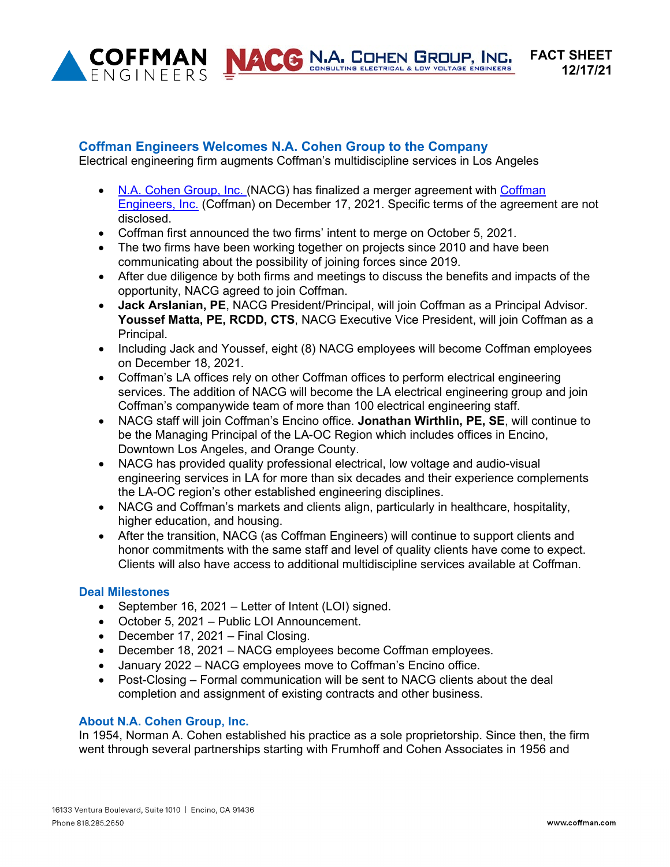

NACE N.A. COHEN GROUP, INC.

# **Coffman Engineers Welcomes N.A. Cohen Group to the Company**

Electrical engineering firm augments Coffman's multidiscipline services in Los Angeles

- N.A. [Cohen Group, Inc. \(](https://www.nacohengroup.com/)NACG) has finalized a merger agreement with Coffman [Engineers,](http://www.coffman.com/) Inc. (Coffman) on December 17, 2021. Specific terms of the agreement are not disclosed.
- Coffman first announced the two firms' intent to merge on October 5, 2021.
- The two firms have been working together on projects since 2010 and have been communicating about the possibility of joining forces since 2019.
- After due diligence by both firms and meetings to discuss the benefits and impacts of the opportunity, NACG agreed to join Coffman.
- **Jack Arslanian, PE**, NACG President/Principal, will join Coffman as a Principal Advisor. **Youssef Matta, PE, RCDD, CTS**, NACG Executive Vice President, will join Coffman as a Principal.
- Including Jack and Youssef, eight (8) NACG employees will become Coffman employees on December 18, 2021.
- Coffman's LA offices rely on other Coffman offices to perform electrical engineering services. The addition of NACG will become the LA electrical engineering group and join Coffman's companywide team of more than 100 electrical engineering staff.
- NACG staff will join Coffman's Encino office. **Jonathan Wirthlin, PE, SE**, will continue to be the Managing Principal of the LA-OC Region which includes offices in Encino, Downtown Los Angeles, and Orange County.
- NACG has provided quality professional electrical, low voltage and audio-visual engineering services in LA for more than six decades and their experience complements the LA-OC region's other established engineering disciplines.
- NACG and Coffman's markets and clients align, particularly in healthcare, hospitality, higher education, and housing.
- After the transition, NACG (as Coffman Engineers) will continue to support clients and honor commitments with the same staff and level of quality clients have come to expect. Clients will also have access to additional multidiscipline services available at Coffman.

#### **Deal Milestones**

- September 16, 2021 Letter of Intent (LOI) signed.
- October 5, 2021 Public LOI Announcement.
- December 17, 2021 Final Closing.
- December 18, 2021 NACG employees become Coffman employees.
- January 2022 NACG employees move to Coffman's Encino office.
- Post-Closing Formal communication will be sent to NACG clients about the deal completion and assignment of existing contracts and other business.

#### **About N.A. Cohen Group, Inc.**

In 1954, Norman A. Cohen established his practice as a sole proprietorship. Since then, the firm went through several partnerships starting with Frumhoff and Cohen Associates in 1956 and